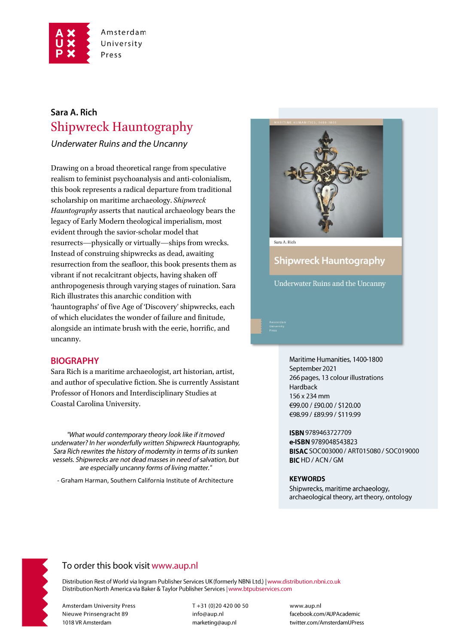

## Sara A. Rich **Shipwreck Hauntography**

Underwater Ruins and the Uncanny

Drawing on a broad theoretical range from speculative realism to feminist psychoanalysis and anti-colonialism, this book represents a radical departure from traditional scholarship on maritime archaeology. Shipwreck Hauntography asserts that nautical archaeology bears the legacy of Early Modern theological imperialism, most evident through the savior-scholar model that resurrects—physically or virtually—ships from wrecks. Instead of construing shipwrecks as dead, awaiting resurrection from the seafloor, this book presents them as vibrant if not recalcitrant objects, having shaken off anthropogenesis through varying stages of ruination. Sara Rich illustrates this anarchic condition with 'hauntographs' of five Age of 'Discovery' shipwrecks, each of which elucidates the wonder of failure and finitude, alongside an intimate brush with the eerie, horrific, and uncanny.

### **BIOGRAPHY**

Sara Rich is a maritime archaeologist, art historian, artist, and author of speculative fiction. She is currently Assistant Professor of Honors and Interdisciplinary Studies at Coastal Carolina University.

"What would contemporary theory look like if it moved underwater? In her wonderfully written Shipwreck Hauntography, Sara Rich rewrites the history of modernity in terms of its sunken vessels. Shipwrecks are not dead masses in need of salvation, but are especially uncanny forms of living matter."

- Graham Harman, Southern California Institute of Architecture



**Shipwreck Hauntography** 

Underwater Ruins and the Uncanny

Maritime Humanities, 1400-1800 September 2021 266 pages, 13 colour illustrations Hardback 156 x 234 mm €99.00 / £90.00 / \$120.00 €98.99 / £89.99 / \$119.99

ISBN 9789463727709 e-ISBN 9789048543823 BISAC SOC003000 / ART015080 / SOC019000 **BICHD/ACN/GM** 

#### **KEYWORDS**

Shipwrecks, maritime archaeology, archaeological theory, art theory, ontology



## To order this book visit www.aup.nl

Distribution Rest of World via Ingram Publisher Services UK (formerly NBNi Ltd.) | www.distribution.nbni.co.uk Distribution North America via Baker & Taylor Publisher Services | www.btpubservices.com

**Amsterdam University Press** Nieuwe Prinsengracht 89 1018 VR Amsterdam

T+31 (0)20 420 00 50 info@aup.nl marketing@aup.nl

www.aup.nl facebook.com/AUPAcademic twitter.com/AmsterdamUPress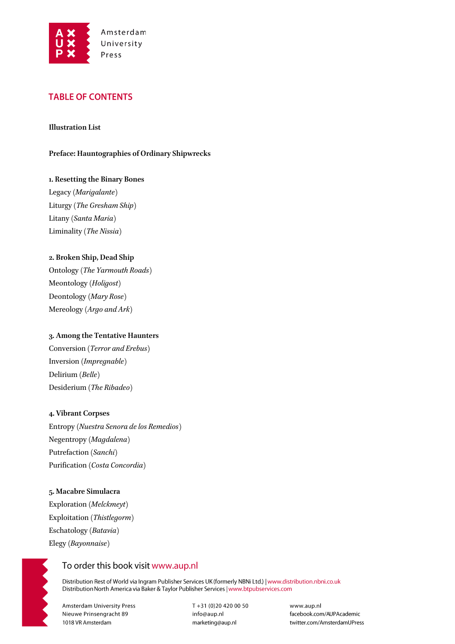

## **TABLE OF CONTENTS**

#### **Illustration List**

**Preface: Hauntographies of Ordinary Shipwrecks** 

# **1. Resetting the Binary Bones**

Legacy (*Marigalante*) Liturgy (*The Gresham Ship*) Litany (*Santa Maria*) Liminality (*The Nissia*)

#### **2. Broken Ship, Dead Ship**

Ontology (*The Yarmouth Roads*) Meontology (*Holigost*) Deontology (*Mary Rose*) Mereology (*Argo and Ark*)

#### **3. Among the Tentative Haunters**

Conversion (*Terror and Erebus*) Inversion (*Impregnable*) Delirium (*Belle*) Desiderium (*The Ribadeo*)

#### **4. Vibrant Corpses**

Entropy (*Nuestra Senora de los Remedios*) Negentropy (*Magdalena*) Putrefaction (*Sanchi*) Purification (*Costa Concordia*)

#### **5. Macabre Simulacra**

Exploration (*Melckmeyt*) Exploitation (*Thistlegorm*) Eschatology (*Batavia*) Elegy (*Bayonnaise*)

## To order this book visit www.aup.nl

Distribution Rest of World via Ingram Publisher Services UK (formerly NBNi Ltd.) | www.distribution.nbni.co.uk Distribution North America via Baker & Taylor Publisher Services | www.btpubservices.com

**Amsterdam University Press** Nieuwe Prinsengracht 89 1018 VR Amsterdam

 $T + 31(0)204200050$ info@aup.nl marketing@aup.nl

www.aup.nl facebook.com/AUPAcademic twitter.com/AmsterdamUPress